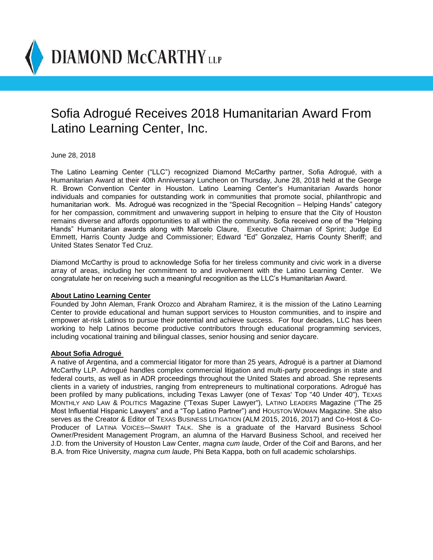**DIAMOND McCARTHY** LLP

## Sofia Adrogué Receives 2018 Humanitarian Award From Latino Learning Center, Inc.

June 28, 2018

The Latino Learning Center ("LLC") recognized Diamond McCarthy partner, Sofia Adrogué, with a Humanitarian Award at their 40th Anniversary Luncheon on Thursday, June 28, 2018 held at the George R. Brown Convention Center in Houston. Latino Learning Center's Humanitarian Awards honor individuals and companies for outstanding work in communities that promote social, philanthropic and humanitarian work. Ms. Adrogué was recognized in the "Special Recognition – Helping Hands" category for her compassion, commitment and unwavering support in helping to ensure that the City of Houston remains diverse and affords opportunities to all within the community. Sofia received one of the "Helping Hands" Humanitarian awards along with Marcelo Claure, Executive Chairman of Sprint; Judge Ed Emmett, Harris County Judge and Commissioner; Edward "Ed" Gonzalez, Harris County Sheriff; and United States Senator Ted Cruz.

Diamond McCarthy is proud to acknowledge Sofia for her tireless community and civic work in a diverse array of areas, including her commitment to and involvement with the Latino Learning Center. We congratulate her on receiving such a meaningful recognition as the LLC's Humanitarian Award.

## **About Latino Learning Center**

Founded by John Aleman, Frank Orozco and Abraham Ramirez, it is the mission of the Latino Learning Center to provide educational and human support services to Houston communities, and to inspire and empower at-risk Latinos to pursue their potential and achieve success. For four decades, LLC has been working to help Latinos become productive contributors through educational programming services, including vocational training and bilingual classes, senior housing and senior daycare.

## **About Sofia Adrogué**

A native of Argentina, and a commercial litigator for more than 25 years, Adrogué is a partner at Diamond McCarthy LLP. Adrogué handles complex commercial litigation and multi-party proceedings in state and federal courts, as well as in ADR proceedings throughout the United States and abroad. She represents clients in a variety of industries, ranging from entrepreneurs to multinational corporations. Adrogué has been profiled by many publications, including Texas Lawyer (one of Texas' Top "40 Under 40"), TEXAS MONTHLY AND LAW & POLITICS Magazine ("Texas Super Lawyer"), LATINO LEADERS Magazine ("The 25 Most Influential Hispanic Lawyers" and a "Top Latino Partner") and HOUSTON WOMAN Magazine. She also serves as the Creator & Editor of TEXAS BUSINESS LITIGATION (ALM 2015, 2016, 2017) and Co-Host & Co-Producer of LATINA VOICES–-SMART TALK. She is a graduate of the Harvard Business School Owner/President Management Program, an alumna of the Harvard Business School, and received her J.D. from the University of Houston Law Center, *magna cum laude*, Order of the Coif and Barons, and her B.A. from Rice University, *magna cum laude*, Phi Beta Kappa, both on full academic scholarships.